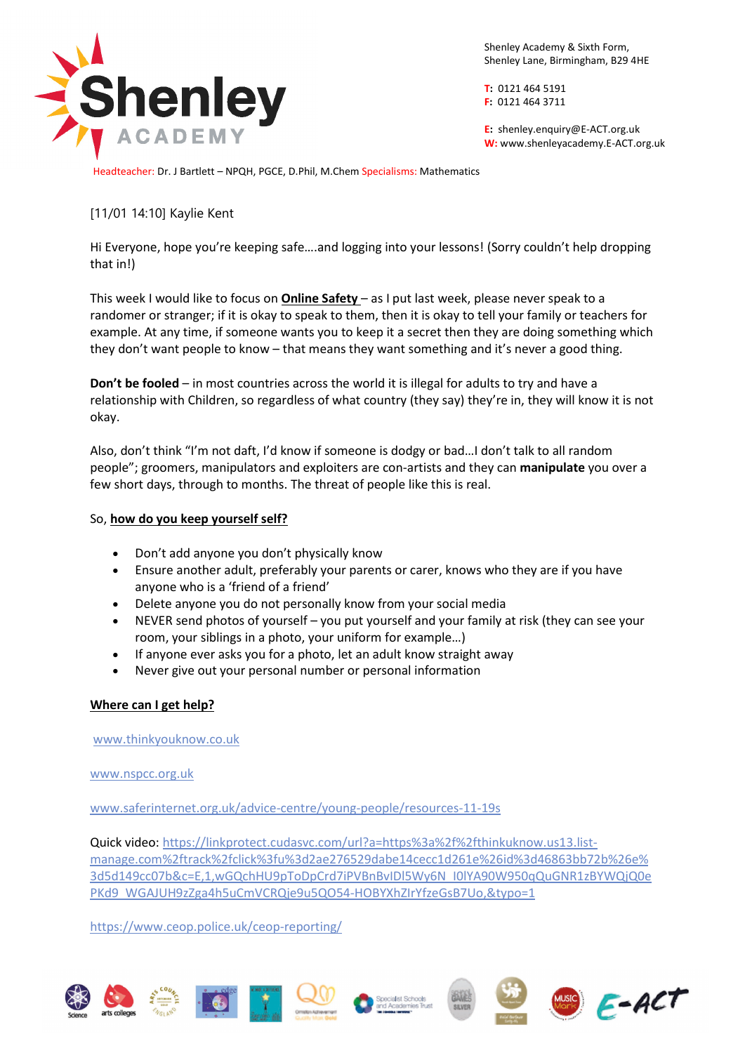

Shenley Academy & Sixth Form, Shenley Lane, Birmingham, B29 4HE

**T:** 0121 464 5191 **F:** 0121 464 3711

**E:** shenle[y.enquiry@E-ACT.org.uk](mailto:enquiry@E-ACT.org.uk) **W:** www.shenleyacademy.E-ACT.org.uk

Headteacher: Dr. J Bartlett – NPQH, PGCE, D.Phil, M.Chem Specialisms: Mathematics

## [11/01 14:10] Kaylie Kent

Hi Everyone, hope you're keeping safe….and logging into your lessons! (Sorry couldn't help dropping that in!)

This week I would like to focus on **Online Safety** – as I put last week, please never speak to a randomer or stranger; if it is okay to speak to them, then it is okay to tell your family or teachers for example. At any time, if someone wants you to keep it a secret then they are doing something which they don't want people to know – that means they want something and it's never a good thing.

**Don't be fooled** – in most countries across the world it is illegal for adults to try and have a relationship with Children, so regardless of what country (they say) they're in, they will know it is not okay.

Also, don't think "I'm not daft, I'd know if someone is dodgy or bad…I don't talk to all random people"; groomers, manipulators and exploiters are con-artists and they can **manipulate** you over a few short days, through to months. The threat of people like this is real.

## So, **how do you keep yourself self?**

- Don't add anyone you don't physically know
- Ensure another adult, preferably your parents or carer, knows who they are if you have anyone who is a 'friend of a friend'
- Delete anyone you do not personally know from your social media
- NEVER send photos of yourself you put yourself and your family at risk (they can see your room, your siblings in a photo, your uniform for example…)
- If anyone ever asks you for a photo, let an adult know straight away
- Never give out your personal number or personal information

## **Where can I get help?**

[www.thinkyouknow.co.uk](http://www.thinkyouknow.co.uk/)

[www.nspcc.org.uk](http://www.nspcc.org.uk/)

[www.saferinternet.org.uk/advice-centre/young-people/resources-11-19s](http://www.saferinternet.org.uk/advice-centre/young-people/resources-11-19s)

Quick video: [https://linkprotect.cudasvc.com/url?a=https%3a%2f%2fthinkuknow.us13.list](https://linkprotect.cudasvc.com/url?a=https%3a%2f%2fthinkuknow.us13.list-manage.com%2ftrack%2fclick%3fu%3d2ae276529dabe14cecc1d261e%26id%3d46863bb72b%26e%3d5d149cc07b&c=E,1,wGQchHU9pToDpCrd7iPVBnBvIDl5Wy6N_I0lYA90W950qQuGNR1zBYWQjQ0ePKd9_WGAJUH9zZga4h5uCmVCRQje9u5QO54-HOBYXhZIrYfzeGsB7Uo,&typo=1)[manage.com%2ftrack%2fclick%3fu%3d2ae276529dabe14cecc1d261e%26id%3d46863bb72b%26e%](https://linkprotect.cudasvc.com/url?a=https%3a%2f%2fthinkuknow.us13.list-manage.com%2ftrack%2fclick%3fu%3d2ae276529dabe14cecc1d261e%26id%3d46863bb72b%26e%3d5d149cc07b&c=E,1,wGQchHU9pToDpCrd7iPVBnBvIDl5Wy6N_I0lYA90W950qQuGNR1zBYWQjQ0ePKd9_WGAJUH9zZga4h5uCmVCRQje9u5QO54-HOBYXhZIrYfzeGsB7Uo,&typo=1) [3d5d149cc07b&c=E,1,wGQchHU9pToDpCrd7iPVBnBvIDl5Wy6N\\_I0lYA90W950qQuGNR1zBYWQjQ0e](https://linkprotect.cudasvc.com/url?a=https%3a%2f%2fthinkuknow.us13.list-manage.com%2ftrack%2fclick%3fu%3d2ae276529dabe14cecc1d261e%26id%3d46863bb72b%26e%3d5d149cc07b&c=E,1,wGQchHU9pToDpCrd7iPVBnBvIDl5Wy6N_I0lYA90W950qQuGNR1zBYWQjQ0ePKd9_WGAJUH9zZga4h5uCmVCRQje9u5QO54-HOBYXhZIrYfzeGsB7Uo,&typo=1) [PKd9\\_WGAJUH9zZga4h5uCmVCRQje9u5QO54-HOBYXhZIrYfzeGsB7Uo,&typo=1](https://linkprotect.cudasvc.com/url?a=https%3a%2f%2fthinkuknow.us13.list-manage.com%2ftrack%2fclick%3fu%3d2ae276529dabe14cecc1d261e%26id%3d46863bb72b%26e%3d5d149cc07b&c=E,1,wGQchHU9pToDpCrd7iPVBnBvIDl5Wy6N_I0lYA90W950qQuGNR1zBYWQjQ0ePKd9_WGAJUH9zZga4h5uCmVCRQje9u5QO54-HOBYXhZIrYfzeGsB7Uo,&typo=1)

<https://www.ceop.police.uk/ceop-reporting/>